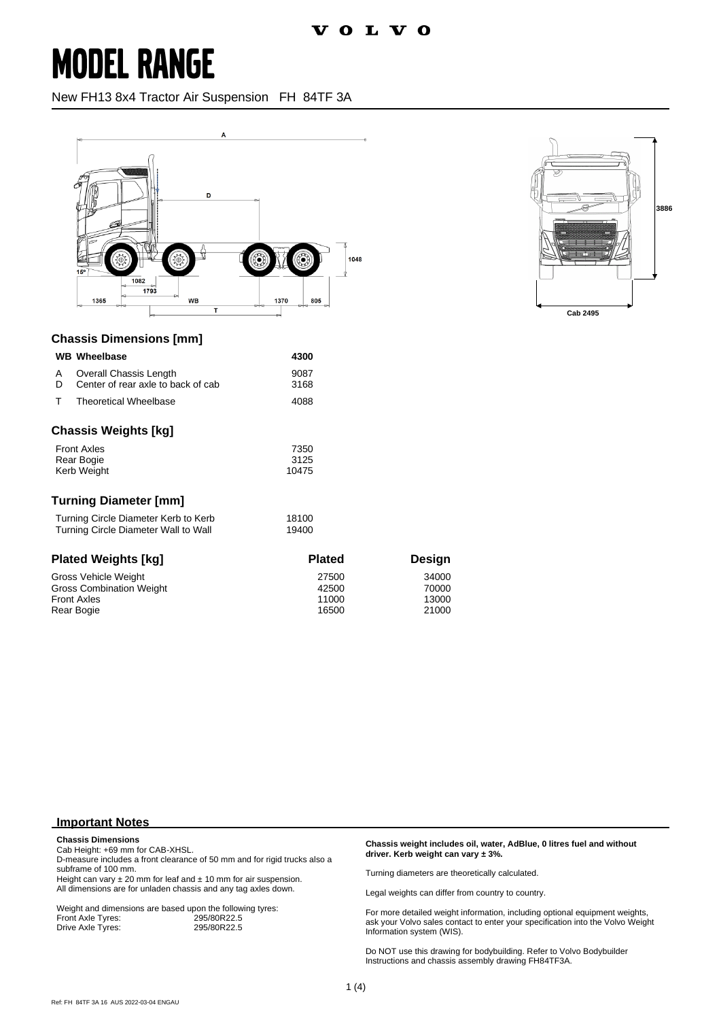New FH13 8x4 Tractor Air Suspension FH 84TF 3A





### **Chassis Dimensions [mm]**

|                                               | <b>WB Wheelbase</b>                                          | 4300         |  |
|-----------------------------------------------|--------------------------------------------------------------|--------------|--|
| A<br>D                                        | Overall Chassis Length<br>Center of rear axle to back of cab | 9087<br>3168 |  |
| т                                             | <b>Theoretical Wheelbase</b>                                 | 4088         |  |
| Chassis Weights [kg]                          |                                                              |              |  |
| <b>Front Axles</b><br>7350                    |                                                              |              |  |
| Rear Bogie                                    |                                                              | 3125         |  |
| Kerb Weight                                   |                                                              | 10475        |  |
| Turning Diameter [mm]                         |                                                              |              |  |
| Turning Circle Diameter Kerb to Kerb<br>18100 |                                                              |              |  |
| Turning Circle Diameter Wall to Wall<br>19400 |                                                              |              |  |

| <b>Plated Weights [kg]</b>      | <b>Plated</b> | <b>Design</b> |
|---------------------------------|---------------|---------------|
| Gross Vehicle Weight            | 27500         | 34000         |
| <b>Gross Combination Weight</b> | 42500         | 70000         |
| <b>Front Axles</b>              | 11000         | 13000         |
| Rear Bogie                      | 16500         | 21000         |

#### **Important Notes**

**Chassis Dimensions**

Cab Height: +69 mm for CAB-XHSL.

D-measure includes a front clearance of 50 mm and for rigid trucks also a subframe of 100 mm.

Height can vary  $\pm 20$  mm for leaf and  $\pm 10$  mm for air suspension. All dimensions are for unladen chassis and any tag axles down.

Weight and dimensions are based upon the following tyres:<br>Front Axle Tyres: 295/80R22.5 Front Axle Tyres: 295/80R22.5<br>Drive Axle Tyres: 295/80R22.5 Drive Axle Tyres:

**Chassis weight includes oil, water, AdBlue, 0 litres fuel and without driver. Kerb weight can vary ± 3%.**

Turning diameters are theoretically calculated.

Legal weights can differ from country to country.

For more detailed weight information, including optional equipment weights, ask your Volvo sales contact to enter your specification into the Volvo Weight Information system (WIS).

Do NOT use this drawing for bodybuilding. Refer to Volvo Bodybuilder Instructions and chassis assembly drawing FH84TF3A.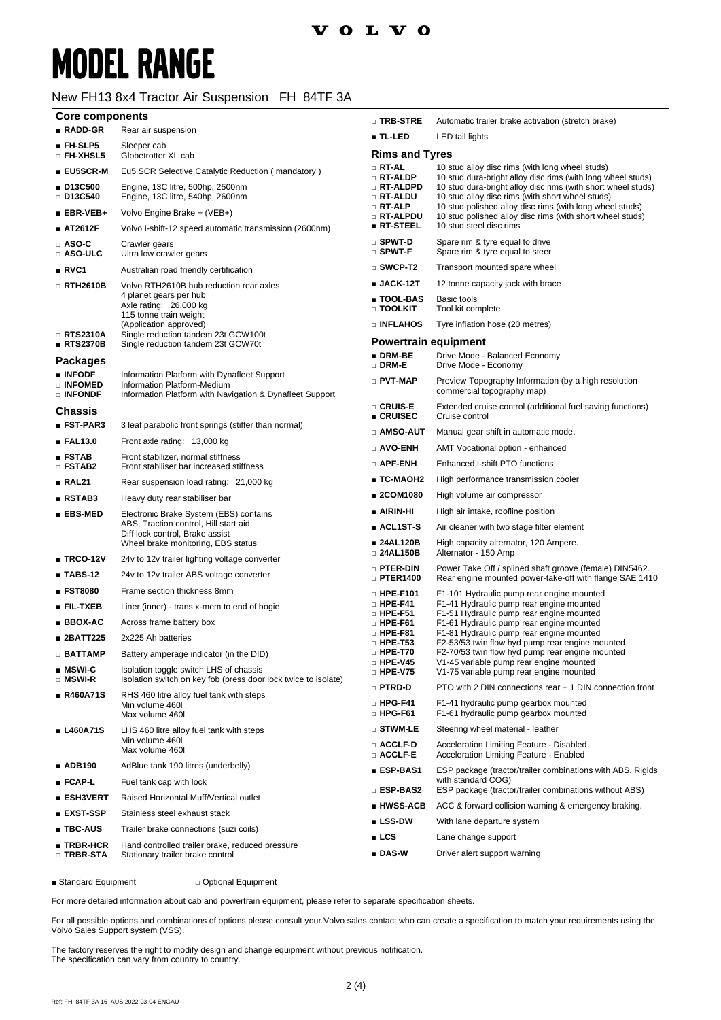#### New FH13 8x4 Tractor Air Suspension FH 84TF 3A

| <b>Core components</b>                |                                                                                                            | □ TRB-STRE                                       | Automatic trailer brake activation (stretch brake)                                                                                                                              |  |
|---------------------------------------|------------------------------------------------------------------------------------------------------------|--------------------------------------------------|---------------------------------------------------------------------------------------------------------------------------------------------------------------------------------|--|
| ■ RADD-GR                             | Rear air suspension                                                                                        | ■ TL-LED                                         | LED tail lights                                                                                                                                                                 |  |
| ■ FH-SLP5<br>$\square$ FH-XHSL5       | Sleeper cab<br>Globetrotter XL cab                                                                         | <b>Rims and Tyres</b>                            |                                                                                                                                                                                 |  |
| ■ EU5SCR-M                            | Eu5 SCR Selective Catalytic Reduction (mandatory)                                                          | $\Box$ RT-AL                                     | 10 stud alloy disc rims (with long wheel studs)                                                                                                                                 |  |
| ■ D13C500<br>$\Box$ D13C540           | Engine, 13C litre, 500hp, 2500nm<br>Engine, 13C litre, 540hp, 2600nm                                       | □ RT-ALDP<br>□ RT-ALDPD<br>□ RT-ALDU<br>□ RT-ALP | 10 stud dura-bright alloy disc rims (with long wheel studs)<br>10 stud dura-bright alloy disc rims (with short wheel studs)<br>10 stud alloy disc rims (with short wheel studs) |  |
| $EBR-VEB+$                            | Volvo Engine Brake + (VEB+)                                                                                | □ RT-ALPDU                                       | 10 stud polished alloy disc rims (with long wheel studs)<br>10 stud polished alloy disc rims (with short wheel studs)                                                           |  |
| ■ AT2612F                             | Volvo I-shift-12 speed automatic transmission (2600nm)                                                     | $\blacksquare$ RT-STEEL                          | 10 stud steel disc rims                                                                                                                                                         |  |
| $\square$ ASO-C<br>□ ASO-ULC          | Crawler gears<br>Ultra low crawler gears                                                                   | $\square$ SPWT-D<br>□ SPWT-F                     | Spare rim & tyre equal to drive<br>Spare rim & tyre equal to steer                                                                                                              |  |
| RVC1                                  | Australian road friendly certification                                                                     | $\square$ SWCP-T2                                | Transport mounted spare wheel                                                                                                                                                   |  |
| $\Box$ RTH2610B                       | Volvo RTH2610B hub reduction rear axles                                                                    | $\blacksquare$ JACK-12T                          | 12 tonne capacity jack with brace                                                                                                                                               |  |
|                                       | 4 planet gears per hub<br>Axle rating: 26,000 kg<br>115 tonne train weight                                 | ∎ TOOL-BAS<br>□ TOOLKIT                          | Basic tools<br>Tool kit complete                                                                                                                                                |  |
|                                       | (Application approved)                                                                                     | <b>DINFLAHOS</b>                                 | Tyre inflation hose (20 metres)                                                                                                                                                 |  |
| $\Box$ RTS2310A<br>RTS2370B           | Single reduction tandem 23t GCW100t<br>Single reduction tandem 23t GCW70t                                  | <b>Powertrain equipment</b>                      |                                                                                                                                                                                 |  |
|                                       |                                                                                                            | $\blacksquare$ DRM-BE                            | Drive Mode - Balanced Economy                                                                                                                                                   |  |
| <b>Packages</b><br><b>INFODF</b>      | Information Platform with Dynafleet Support                                                                | $\square$ DRM-E                                  | Drive Mode - Economy                                                                                                                                                            |  |
| □ INFOMED<br><b>DINFONDE</b>          | Information Platform-Medium<br>Information Platform with Navigation & Dynafleet Support                    | D PVT-MAP                                        | Preview Topography Information (by a high resolution<br>commercial topography map)                                                                                              |  |
| <b>Chassis</b>                        |                                                                                                            | □ CRUIS-E<br>$\blacksquare$ CRUISEC              | Extended cruise control (additional fuel saving functions)<br>Cruise control                                                                                                    |  |
| ■ FST-PAR3                            | 3 leaf parabolic front springs (stiffer than normal)                                                       | $\square$ amso-aut                               | Manual gear shift in automatic mode.                                                                                                                                            |  |
| EAL13.0                               | Front axle rating: 13,000 kg                                                                               | □ AVO-ENH                                        | AMT Vocational option - enhanced                                                                                                                                                |  |
| ESTAB<br>□ FSTAB2                     | Front stabilizer, normal stiffness<br>Front stabiliser bar increased stiffness                             | $\Box$ APF-ENH                                   | Enhanced I-shift PTO functions                                                                                                                                                  |  |
| RAL21                                 | Rear suspension load rating: 21,000 kg                                                                     | ∎ TC-MAOH2                                       | High performance transmission cooler                                                                                                                                            |  |
| RSTAB3                                | Heavy duty rear stabiliser bar                                                                             | ■ 2COM1080                                       | High volume air compressor                                                                                                                                                      |  |
| $EBS-MED$                             | Electronic Brake System (EBS) contains                                                                     | ∎ AIRIN-HI                                       | High air intake, roofline position                                                                                                                                              |  |
|                                       | ABS, Traction control, Hill start aid<br>Diff lock control, Brake assist                                   | $\blacksquare$ ACL1ST-S                          | Air cleaner with two stage filter element                                                                                                                                       |  |
|                                       | Wheel brake monitoring, EBS status                                                                         | ∎ 24AL120B<br>□ 24AL150B                         | High capacity alternator, 120 Ampere.<br>Alternator - 150 Amp                                                                                                                   |  |
| $\blacksquare$ TRCO-12V               | 24v to 12v trailer lighting voltage converter                                                              | <b>D</b> PTER-DIN                                | Power Take Off / splined shaft groove (female) DIN5462.                                                                                                                         |  |
| $\blacksquare$ TABS-12                | 24y to 12y trailer ABS voltage converter                                                                   | $\Box$ PTER1400                                  | Rear engine mounted power-take-off with flange SAE 1410                                                                                                                         |  |
| ■ FST8080                             | Frame section thickness 8mm                                                                                | $\Box$ HPE-F101                                  | F1-101 Hydraulic pump rear engine mounted                                                                                                                                       |  |
| $\blacksquare$ Fil-txeb               | Liner (inner) - trans x-mem to end of bogie                                                                | $\Box$ HPE-F41<br>$\Box$ HPE-F51                 | F1-41 Hydraulic pump rear engine mounted<br>F1-51 Hydraulic pump rear engine mounted                                                                                            |  |
| ■ BBOX-AC                             | Across frame battery box                                                                                   | $\Box$ HPE-F61                                   | F1-61 Hydraulic pump rear engine mounted                                                                                                                                        |  |
| ■ 2BATT225                            | 2x225 Ah batteries                                                                                         | $\Box$ HPE-F81<br>$\Box$ HPE-T53                 | F1-81 Hydraulic pump rear engine mounted<br>F2-53/53 twin flow hyd pump rear engine mounted                                                                                     |  |
| $\Box$ BATTAMP                        | Battery amperage indicator (in the DID)                                                                    | $\Box$ HPE-T70                                   | F2-70/53 twin flow hyd pump rear engine mounted                                                                                                                                 |  |
| $\blacksquare$ MSWI-C                 | Isolation toggle switch LHS of chassis                                                                     | $\square$ HPE-V45<br>$\Box$ HPE-V75              | V1-45 variable pump rear engine mounted<br>V1-75 variable pump rear engine mounted                                                                                              |  |
| $\Box$ MSWI-R<br>■ R460A71S           | Isolation switch on key fob (press door lock twice to isolate)<br>RHS 460 litre alloy fuel tank with steps | □ PTRD-D                                         | PTO with 2 DIN connections rear + 1 DIN connection front                                                                                                                        |  |
|                                       | Min volume 460I<br>Max volume 460I                                                                         | $\Box$ HPG-F41<br>$\Box$ HPG-F61                 | F1-41 hydraulic pump gearbox mounted<br>F1-61 hydraulic pump gearbox mounted                                                                                                    |  |
| ■ L460A71S                            | LHS 460 litre alloy fuel tank with steps                                                                   | □ STWM-LE                                        | Steering wheel material - leather                                                                                                                                               |  |
|                                       | Min volume 460l<br>Max volume 460l                                                                         | □ ACCLF-D<br>□ ACCLF-E                           | Acceleration Limiting Feature - Disabled<br>Acceleration Limiting Feature - Enabled                                                                                             |  |
| ■ ADB190                              | AdBlue tank 190 litres (underbelly)                                                                        | ∎ ESP-BAS1                                       | ESP package (tractor/trailer combinations with ABS. Rigids                                                                                                                      |  |
| ■ FCAP-L                              | Fuel tank cap with lock                                                                                    | □ ESP-BAS2                                       | with standard COG)<br>ESP package (tractor/trailer combinations without ABS)                                                                                                    |  |
| ■ ESH3VERT                            | Raised Horizontal Muff/Vertical outlet                                                                     | ∎ HWSS-ACB                                       | ACC & forward collision warning & emergency braking.                                                                                                                            |  |
| <b>EXST-SSP</b>                       | Stainless steel exhaust stack                                                                              | $\blacksquare$ LSS-DW                            | With lane departure system                                                                                                                                                      |  |
| ∎ TBC-AUS                             | Trailer brake connections (suzi coils)                                                                     | $\_$ LCS                                         |                                                                                                                                                                                 |  |
| $\blacksquare$ TRBR-HCR<br>□ TRBR-STA | Hand controlled trailer brake, reduced pressure                                                            | ∎ DAS-W                                          | Lane change support<br>Driver alert support warning                                                                                                                             |  |
|                                       | Stationary trailer brake control                                                                           |                                                  |                                                                                                                                                                                 |  |

■ Standard Equipment □ Optional Equipment

For more detailed information about cab and powertrain equipment, please refer to separate specification sheets.

For all possible options and combinations of options please consult your Volvo sales contact who can create a specification to match your requirements using the Volvo Sales Support system (VSS).

The factory reserves the right to modify design and change equipment without previous notification. The specification can vary from country to country.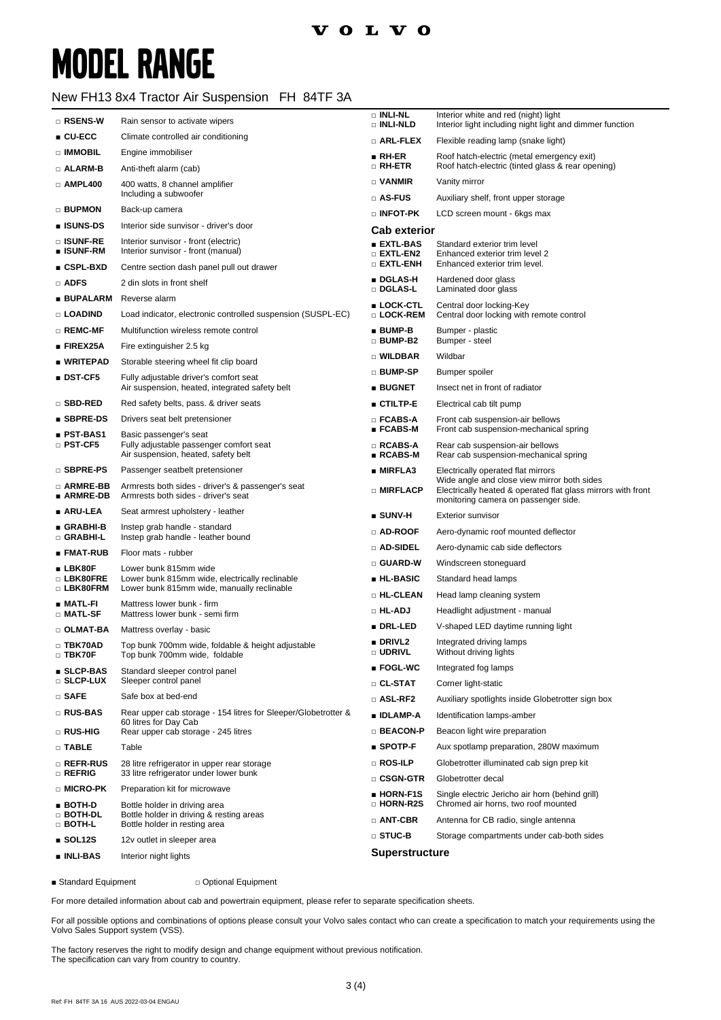#### New FH13 8x4 Tractor Air Suspension FH 84TF 3A

| □ RSENS-W                      | Rain sensor to activate wipers                                                           | <b>DINLI-NL</b><br>□ INLI-NLD          | Interior white and red (night) light<br>Interior light including night light and dimmer function                                                    |
|--------------------------------|------------------------------------------------------------------------------------------|----------------------------------------|-----------------------------------------------------------------------------------------------------------------------------------------------------|
| $\blacksquare$ CU-ECC          | Climate controlled air conditioning                                                      | □ ARL-FLEX                             | Flexible reading lamp (snake light)                                                                                                                 |
| $\Box$ IMMOBIL                 | Engine immobiliser                                                                       | $RH-ER$                                | Roof hatch-electric (metal emergency exit)                                                                                                          |
| □ ALARM-B                      | Anti-theft alarm (cab)                                                                   | $\Box$ RH-ETR                          | Roof hatch-electric (tinted glass & rear opening)                                                                                                   |
| $\square$ AMPL400              | 400 watts, 8 channel amplifier<br>Including a subwoofer                                  | $\Box$ VANMIR                          | Vanity mirror                                                                                                                                       |
| □ BUPMON                       | Back-up camera                                                                           | □ AS-FUS                               | Auxiliary shelf, front upper storage                                                                                                                |
| ∎ ISUNS-DS                     | Interior side sunvisor - driver's door                                                   | $\square$ INFOT-PK                     | LCD screen mount - 6kgs max                                                                                                                         |
| □ ISUNF-RE                     | Interior sunvisor - front (electric)                                                     | <b>Cab exterior</b><br><b>EXTL-BAS</b> | Standard exterior trim level                                                                                                                        |
| ∎ ISUNF-RM                     | Interior sunvisor - front (manual)                                                       | $\square$ EXTL-EN2                     | Enhanced exterior trim level 2                                                                                                                      |
| ∎ CSPL-BXD                     | Centre section dash panel pull out drawer                                                | $\Box$ EXTL-ENH                        | Enhanced exterior trim level.                                                                                                                       |
| □ ADFS                         | 2 din slots in front shelf                                                               | ■ DGLAS-H<br>□ DGLAS-L                 | Hardened door glass<br>Laminated door glass                                                                                                         |
| ∎ BUPALARM                     | Reverse alarm                                                                            | ■ LOCK-CTL                             | Central door locking-Key                                                                                                                            |
| □ LOADIND                      | Load indicator, electronic controlled suspension (SUSPL-EC)                              | □ LOCK-REM                             | Central door locking with remote control                                                                                                            |
| □ REMC-MF                      | Multifunction wireless remote control                                                    | $B$ BUMP-B<br>□ BUMP-B2                | Bumper - plastic<br>Bumper - steel                                                                                                                  |
| $\blacksquare$ FIREX25A        | Fire extinguisher 2.5 kg                                                                 | □ WILDBAR                              | Wildbar                                                                                                                                             |
| ∎ WRITEPAD                     | Storable steering wheel fit clip board                                                   | □ BUMP-SP                              | Bumper spoiler                                                                                                                                      |
| $\blacksquare$ DST-CF5         | Fully adjustable driver's comfort seat<br>Air suspension, heated, integrated safety belt | <b>BUGNET</b>                          | Insect net in front of radiator                                                                                                                     |
| □ SBD-RED                      | Red safety belts, pass. & driver seats                                                   | $\blacksquare$ CTILTP-E                | Electrical cab tilt pump                                                                                                                            |
| $\blacksquare$ SBPRE-DS        | Drivers seat belt pretensioner                                                           | □ FCABS-A                              | Front cab suspension-air bellows                                                                                                                    |
| ∎ PST-BAS1                     | Basic passenger's seat                                                                   | $\blacksquare$ FCABS-M                 | Front cab suspension-mechanical spring                                                                                                              |
| $\Box$ PST-CF5                 | Fully adjustable passenger comfort seat<br>Air suspension, heated, safety belt           | □ RCABS-A<br>$RCABS-M$                 | Rear cab suspension-air bellows<br>Rear cab suspension-mechanical spring                                                                            |
| $\square$ SBPRE-PS             | Passenger seatbelt pretensioner                                                          | ■ MIRFLA3                              | Electrically operated flat mirrors                                                                                                                  |
| □ ARMRE-BB<br>■ ARMRE-DB       | Armrests both sides - driver's & passenger's seat<br>Armrests both sides - driver's seat | □ MIRFLACP                             | Wide angle and close view mirror both sides<br>Electrically heated & operated flat glass mirrors with front<br>monitoring camera on passenger side. |
| ∎ ARU-LEA                      | Seat armrest upholstery - leather                                                        | $\blacksquare$ SUNV-H                  | <b>Exterior sunvisor</b>                                                                                                                            |
| ∎ GRABHI-B<br>□ GRABHI-L       | Instep grab handle - standard<br>Instep grab handle - leather bound                      | $\square$ AD-ROOF                      | Aero-dynamic roof mounted deflector                                                                                                                 |
| ∎ FMAT-RUB                     | Floor mats - rubber                                                                      | □ AD-SIDEL                             | Aero-dynamic cab side deflectors                                                                                                                    |
| $\blacksquare$ LBK80F          | Lower bunk 815mm wide                                                                    | □ GUARD-W                              | Windscreen stoneguard                                                                                                                               |
| □ LBK80FRE                     | Lower bunk 815mm wide, electrically reclinable                                           | ■ HL-BASIC                             | Standard head lamps                                                                                                                                 |
| □ LBK80FRM                     | Lower bunk 815mm wide, manually reclinable                                               | □ HL-CLEAN                             | Head lamp cleaning system                                                                                                                           |
| ∎ MATL-FI<br>□ MATL-SF         | Mattress lower bunk - firm<br>Mattress lower bunk - semi firm                            | □ HL-ADJ                               | Headlight adjustment - manual                                                                                                                       |
| □ OLMAT-BA                     | Mattress overlay - basic                                                                 | <b>DRL-LED</b>                         | V-shaped LED daytime running light                                                                                                                  |
| □ TBK70AD<br>□ TBK70F          | Top bunk 700mm wide, foldable & height adjustable<br>Top bunk 700mm wide, foldable       | DRIVL <sub>2</sub><br>o udrivl         | Integrated driving lamps<br>Without driving lights                                                                                                  |
| ■ SLCP-BAS                     | Standard sleeper control panel                                                           | $\blacksquare$ FOGL-WC                 | Integrated fog lamps                                                                                                                                |
| □ SLCP-LUX                     | Sleeper control panel                                                                    | □ CL-STAT                              | Corner light-static                                                                                                                                 |
| $\Box$ SAFE                    | Safe box at bed-end                                                                      | □ ASL-RF2                              | Auxiliary spotlights inside Globetrotter sign box                                                                                                   |
| □ RUS-BAS                      | Rear upper cab storage - 154 litres for Sleeper/Globetrotter &<br>60 litres for Day Cab  | ■ IDLAMP-A                             | Identification lamps-amber                                                                                                                          |
| □ RUS-HIG                      | Rear upper cab storage - 245 litres                                                      | □ BEACON-P                             | Beacon light wire preparation                                                                                                                       |
| $\square$ TABLE                | Table                                                                                    | $\blacksquare$ SPOTP-F                 | Aux spotlamp preparation, 280W maximum                                                                                                              |
| □ REFR-RUS<br>$\square$ refrig | 28 litre refrigerator in upper rear storage<br>33 litre refrigerator under lower bunk    | □ ROS-ILP<br>$\square$ CSGN-GTR        | Globetrotter illuminated cab sign prep kit<br>Globetrotter decal                                                                                    |
| □ MICRO-PK                     | Preparation kit for microwave                                                            | ■ HORN-F1S                             | Single electric Jericho air horn (behind grill)                                                                                                     |
| $\blacksquare$ BOTH-D          | Bottle holder in driving area                                                            | □ HORN-R2S                             | Chromed air horns, two roof mounted                                                                                                                 |
| □ BOTH-DL<br>$□$ both-l        | Bottle holder in driving & resting areas<br>Bottle holder in resting area                | □ ANT-CBR                              | Antenna for CB radio, single antenna                                                                                                                |
| $\blacksquare$ SOL12S          | 12v outlet in sleeper area                                                               | $\square$ STUC-B                       | Storage compartments under cab-both sides                                                                                                           |
| ∎ INLI-BAS                     | Interior night lights                                                                    | <b>Superstructure</b>                  |                                                                                                                                                     |
|                                |                                                                                          |                                        |                                                                                                                                                     |

■ Standard Equipment □ Optional Equipment

For more detailed information about cab and powertrain equipment, please refer to separate specification sheets.

For all possible options and combinations of options please consult your Volvo sales contact who can create a specification to match your requirements using the Volvo Sales Support system (VSS).

The factory reserves the right to modify design and change equipment without previous notification. The specification can vary from country to country.